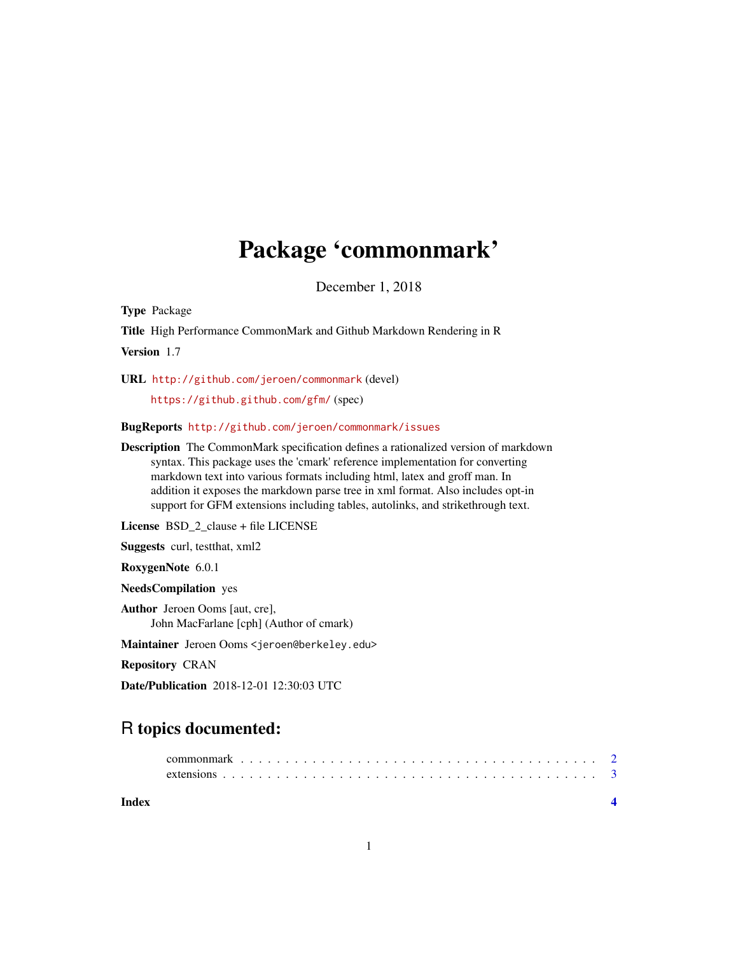## Package 'commonmark'

December 1, 2018

Type Package

Title High Performance CommonMark and Github Markdown Rendering in R

Version 1.7

URL <http://github.com/jeroen/commonmark> (devel)

<https://github.github.com/gfm/> (spec)

BugReports <http://github.com/jeroen/commonmark/issues>

Description The CommonMark specification defines a rationalized version of markdown syntax. This package uses the 'cmark' reference implementation for converting markdown text into various formats including html, latex and groff man. In addition it exposes the markdown parse tree in xml format. Also includes opt-in support for GFM extensions including tables, autolinks, and strikethrough text.

License BSD\_2\_clause + file LICENSE

Suggests curl, testthat, xml2

RoxygenNote 6.0.1

NeedsCompilation yes

Author Jeroen Ooms [aut, cre], John MacFarlane [cph] (Author of cmark)

Maintainer Jeroen Ooms <jeroen@berkeley.edu>

Repository CRAN

Date/Publication 2018-12-01 12:30:03 UTC

### R topics documented: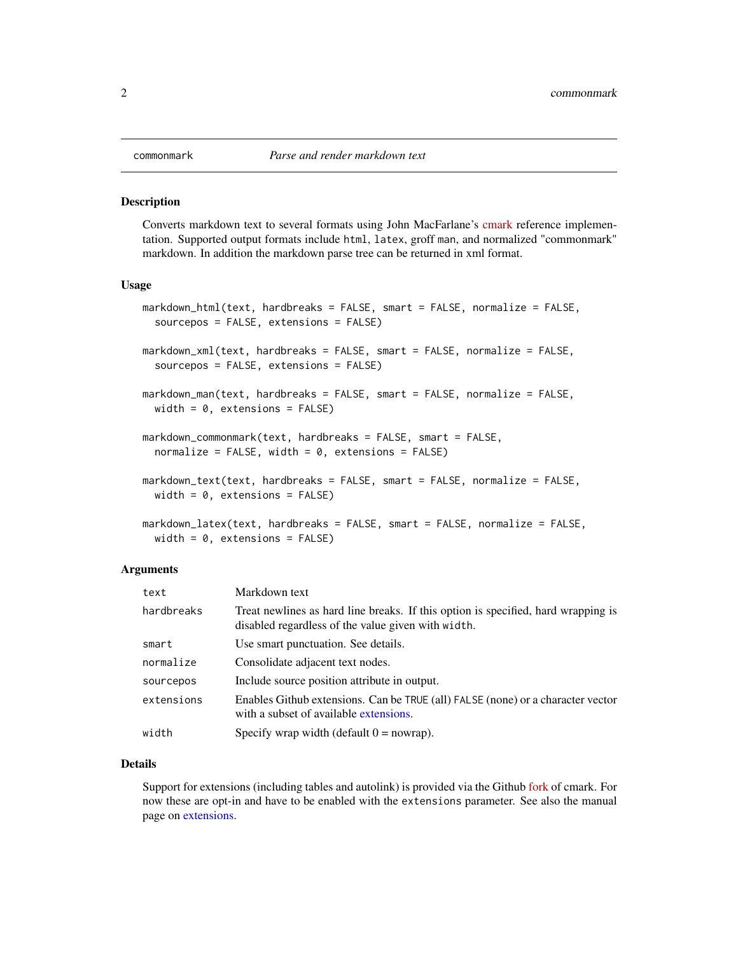<span id="page-1-0"></span>

#### Description

Converts markdown text to several formats using John MacFarlane's [cmark](https://github.com/jgm/cmark) reference implementation. Supported output formats include html, latex, groff man, and normalized "commonmark" markdown. In addition the markdown parse tree can be returned in xml format.

#### Usage

```
markdown_html(text, hardbreaks = FALSE, smart = FALSE, normalize = FALSE,
  sourcepos = FALSE, extensions = FALSE)
markdown_xml(text, hardbreaks = FALSE, smart = FALSE, normalize = FALSE,
  sourcepos = FALSE, extensions = FALSE)
markdown_man(text, hardbreaks = FALSE, smart = FALSE, normalize = FALSE,
  width = 0, extensions = FALSE)
markdown_commonmark(text, hardbreaks = FALSE, smart = FALSE,
  normalize = FALSE, width = 0, extensions = FALSE)
markdown_text(text, hardbreaks = FALSE, smart = FALSE, normalize = FALSE,
  width = 0, extensions = FALSE)
markdown_latex(text, hardbreaks = FALSE, smart = FALSE, normalize = FALSE,
 width = 0, extensions = FALSE)
```
#### Arguments

| text       | Markdown text                                                                                                                           |
|------------|-----------------------------------------------------------------------------------------------------------------------------------------|
| hardbreaks | Treat newlines as hard line breaks. If this option is specified, hard wrapping is<br>disabled regardless of the value given with width. |
| smart      | Use smart punctuation. See details.                                                                                                     |
| normalize  | Consolidate adjacent text nodes.                                                                                                        |
| sourcepos  | Include source position attribute in output.                                                                                            |
| extensions | Enables Github extensions. Can be TRUE (all) FALSE (none) or a character vector<br>with a subset of available extensions.               |
| width      | Specify wrap width (default $0 =$ nowrap).                                                                                              |

#### Details

Support for extensions (including tables and autolink) is provided via the Github [fork](https://github.com/github/cmark) of cmark. For now these are opt-in and have to be enabled with the extensions parameter. See also the manual page on [extensions.](#page-2-1)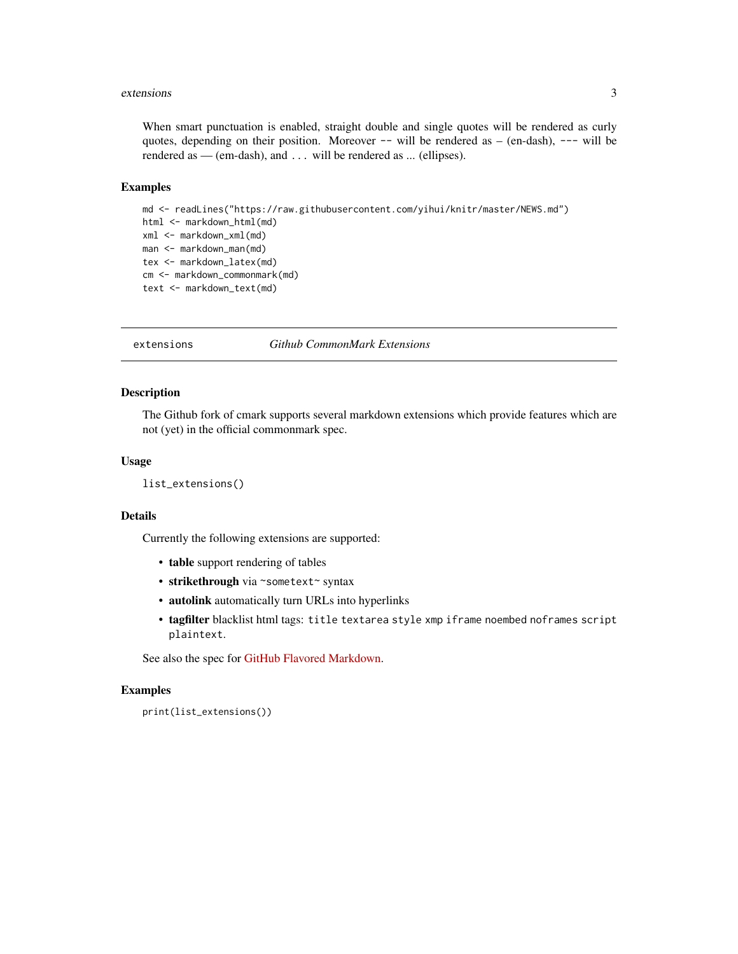#### <span id="page-2-0"></span>extensions 3

When smart punctuation is enabled, straight double and single quotes will be rendered as curly quotes, depending on their position. Moreover  $-$  will be rendered as  $-$  (en-dash),  $---$  will be rendered as — (em-dash), and . . . will be rendered as ... (ellipses).

#### Examples

```
md <- readLines("https://raw.githubusercontent.com/yihui/knitr/master/NEWS.md")
html <- markdown_html(md)
xml <- markdown_xml(md)
man <- markdown_man(md)
tex <- markdown_latex(md)
cm <- markdown_commonmark(md)
text <- markdown_text(md)
```
<span id="page-2-1"></span>extensions *Github CommonMark Extensions*

#### Description

The Github fork of cmark supports several markdown extensions which provide features which are not (yet) in the official commonmark spec.

#### Usage

```
list_extensions()
```
#### Details

Currently the following extensions are supported:

- table support rendering of tables
- strikethrough via ~sometext~ syntax
- autolink automatically turn URLs into hyperlinks
- tagfilter blacklist html tags: title textarea style xmp iframe noembed noframes script plaintext.

See also the spec for [GitHub Flavored Markdown.](https://github.github.com/gfm/)

#### Examples

```
print(list_extensions())
```